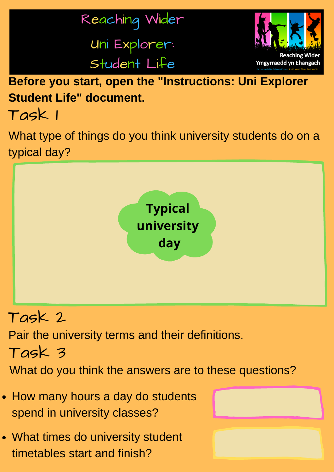



**Before you start, open the "Instructions: Uni Explorer Student Life" document.**

Task 1

What type of things do you think university students do on a typical day?



### Task 2

Pair the university terms and their definitions.

#### Task 3

What do you think the answers are to these questions?

- How many hours a day do students spend in university classes?
- What times do university student timetables start and finish?

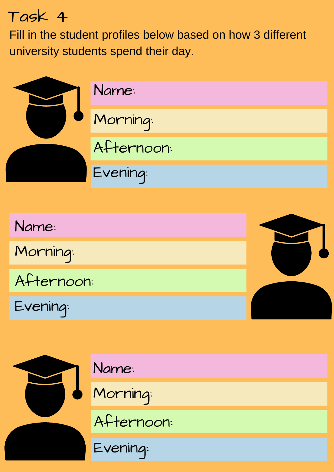## Task 4

Fill in the student profiles below based on how 3 different university students spend their day.



Morning:

Afternoon:

Evening:



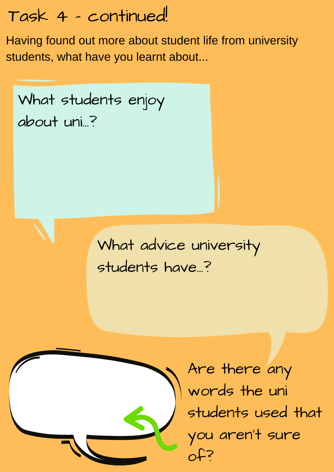# Task 4 - continued!

Having found out more about student life from university students, what have you learnt about...

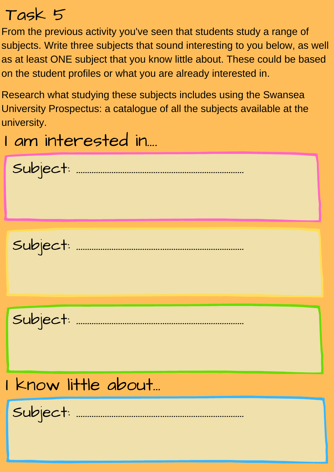# Task 5

From the previous activity you've seen that students study a range of subjects. Write three subjects that sound interesting to you below, as well as at least ONE subject that you know little about. These could be based on the student profiles or what you are already interested in.

Research what studying these subjects includes using the Swansea University Prospectus: a catalogue of all the subjects available at the university.